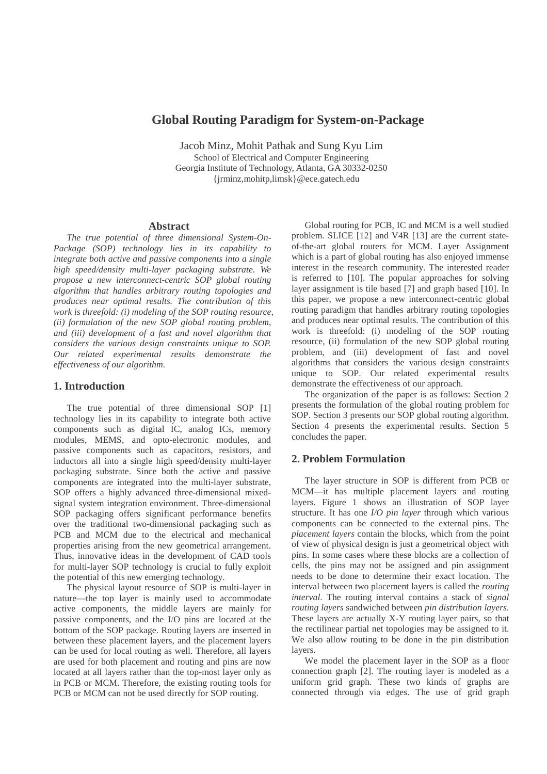# **Global Routing Paradigm for System-on-Package**

Jacob Minz, Mohit Pathak and Sung Kyu Lim School of Electrical and Computer Engineering Georgia Institute of Technology, Atlanta, GA 30332-0250 {jrminz,mohitp,limsk}@ece.gatech.edu

## **Abstract**

*The true potential of three dimensional System-On-Package (SOP) technology lies in its capability to integrate both active and passive components into a single high speed/density multi-layer packaging substrate. We propose a new interconnect-centric SOP global routing algorithm that handles arbitrary routing topologies and produces near optimal results. The contribution of this work is threefold: (i) modeling of the SOP routing resource, (ii) formulation of the new SOP global routing problem, and (iii) development of a fast and novel algorithm that considers the various design constraints unique to SOP. Our related experimental results demonstrate the effectiveness of our algorithm.* 

#### **1. Introduction**

The true potential of three dimensional SOP [1] technology lies in its capability to integrate both active components such as digital IC, analog ICs, memory modules, MEMS, and opto-electronic modules, and passive components such as capacitors, resistors, and inductors all into a single high speed/density multi-layer packaging substrate. Since both the active and passive components are integrated into the multi-layer substrate, SOP offers a highly advanced three-dimensional mixedsignal system integration environment. Three-dimensional SOP packaging offers significant performance benefits over the traditional two-dimensional packaging such as PCB and MCM due to the electrical and mechanical properties arising from the new geometrical arrangement. Thus, innovative ideas in the development of CAD tools for multi-layer SOP technology is crucial to fully exploit the potential of this new emerging technology.

The physical layout resource of SOP is multi-layer in nature—the top layer is mainly used to accommodate active components, the middle layers are mainly for passive components, and the I/O pins are located at the bottom of the SOP package. Routing layers are inserted in between these placement layers, and the placement layers can be used for local routing as well. Therefore, all layers are used for both placement and routing and pins are now located at all layers rather than the top-most layer only as in PCB or MCM. Therefore, the existing routing tools for PCB or MCM can not be used directly for SOP routing.

Global routing for PCB, IC and MCM is a well studied problem. SLICE [12] and V4R [13] are the current stateof-the-art global routers for MCM. Layer Assignment which is a part of global routing has also enjoyed immense interest in the research community. The interested reader is referred to [10]. The popular approaches for solving layer assignment is tile based [7] and graph based [10]. In this paper, we propose a new interconnect-centric global routing paradigm that handles arbitrary routing topologies and produces near optimal results. The contribution of this work is threefold: (i) modeling of the SOP routing resource, (ii) formulation of the new SOP global routing problem, and (iii) development of fast and novel algorithms that considers the various design constraints unique to SOP. Our related experimental results demonstrate the effectiveness of our approach.

The organization of the paper is as follows: Section 2 presents the formulation of the global routing problem for SOP. Section 3 presents our SOP global routing algorithm. Section 4 presents the experimental results. Section 5 concludes the paper.

## **2. Problem Formulation**

The layer structure in SOP is different from PCB or MCM—it has multiple placement layers and routing layers. Figure 1 shows an illustration of SOP layer structure. It has one *I/O pin layer* through which various components can be connected to the external pins. The *placement layers* contain the blocks, which from the point of view of physical design is just a geometrical object with pins. In some cases where these blocks are a collection of cells, the pins may not be assigned and pin assignment needs to be done to determine their exact location. The interval between two placement layers is called the *routing interval*. The routing interval contains a stack of *signal routing layers* sandwiched between *pin distribution layers*. These layers are actually X-Y routing layer pairs, so that the rectilinear partial net topologies may be assigned to it. We also allow routing to be done in the pin distribution layers.

We model the placement layer in the SOP as a floor connection graph [2]. The routing layer is modeled as a uniform grid graph. These two kinds of graphs are connected through via edges. The use of grid graph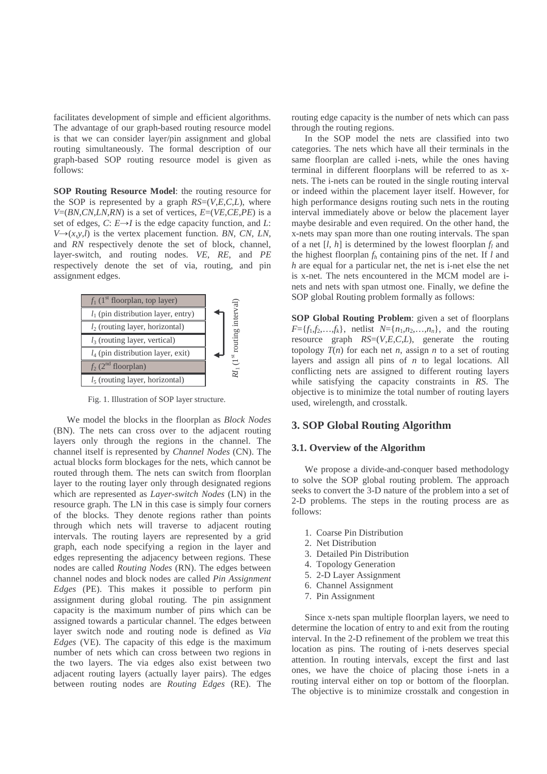facilitates development of simple and efficient algorithms. The advantage of our graph-based routing resource model is that we can consider layer/pin assignment and global routing simultaneously. The formal description of our graph-based SOP routing resource model is given as follows:

**SOP Routing Resource Model**: the routing resource for the SOP is represented by a graph  $RS=(V,E,C,L)$ , where *V*=(*BN*,*CN*,*LN*,*RN*) is a set of vertices, *E*=(*VE*,*CE*,*PE*) is a set of edges,  $C: E \rightarrow I$  is the edge capacity function, and *L*:  $V \rightarrow (x, y, l)$  is the vertex placement function. *BN*, *CN*, *LN*, and *RN* respectively denote the set of block, channel, layer-switch, and routing nodes. *VE*, *RE*, and *PE* respectively denote the set of via, routing, and pin assignment edges.



Fig. 1. Illustration of SOP layer structure.

We model the blocks in the floorplan as *Block Nodes* (BN). The nets can cross over to the adjacent routing layers only through the regions in the channel. The channel itself is represented by *Channel Nodes* (CN). The actual blocks form blockages for the nets, which cannot be routed through them. The nets can switch from floorplan layer to the routing layer only through designated regions which are represented as *Layer-switch Nodes* (LN) in the resource graph. The LN in this case is simply four corners of the blocks. They denote regions rather than points through which nets will traverse to adjacent routing intervals. The routing layers are represented by a grid graph, each node specifying a region in the layer and edges representing the adjacency between regions. These nodes are called *Routing Nodes* (RN). The edges between channel nodes and block nodes are called *Pin Assignment Edges* (PE). This makes it possible to perform pin assignment during global routing. The pin assignment capacity is the maximum number of pins which can be assigned towards a particular channel. The edges between layer switch node and routing node is defined as *Via Edges* (VE). The capacity of this edge is the maximum number of nets which can cross between two regions in the two layers. The via edges also exist between two adjacent routing layers (actually layer pairs). The edges between routing nodes are *Routing Edges* (RE). The routing edge capacity is the number of nets which can pass through the routing regions.

In the SOP model the nets are classified into two categories. The nets which have all their terminals in the same floorplan are called i-nets, while the ones having terminal in different floorplans will be referred to as xnets. The i-nets can be routed in the single routing interval or indeed within the placement layer itself. However, for high performance designs routing such nets in the routing interval immediately above or below the placement layer maybe desirable and even required. On the other hand, the x-nets may span more than one routing intervals. The span of a net  $[I, h]$  is determined by the lowest floorplan  $f_l$  and the highest floorplan *fh* containing pins of the net. If *l* and *h* are equal for a particular net, the net is i-net else the net is x-net. The nets encountered in the MCM model are inets and nets with span utmost one. Finally, we define the SOP global Routing problem formally as follows:

**SOP Global Routing Problem**: given a set of floorplans  $F = \{f_1, f_2, \ldots, f_k\}$ , netlist  $N = \{n_1, n_2, \ldots, n_n\}$ , and the routing resource graph *RS*=(*V*,*E*,*C*,*L*), generate the routing topology  $T(n)$  for each net *n*, assign *n* to a set of routing layers and assign all pins of *n* to legal locations. All conflicting nets are assigned to different routing layers while satisfying the capacity constraints in *RS*. The objective is to minimize the total number of routing layers used, wirelength, and crosstalk.

#### **3. SOP Global Routing Algorithm**

#### **3.1. Overview of the Algorithm**

We propose a divide-and-conquer based methodology to solve the SOP global routing problem. The approach seeks to convert the 3-D nature of the problem into a set of 2-D problems. The steps in the routing process are as follows:

- 1. Coarse Pin Distribution
- 2. Net Distribution
- 3. Detailed Pin Distribution
- 4. Topology Generation
- 5. 2-D Layer Assignment
- 6. Channel Assignment
- 7. Pin Assignment

Since x-nets span multiple floorplan layers, we need to determine the location of entry to and exit from the routing interval. In the 2-D refinement of the problem we treat this location as pins. The routing of i-nets deserves special attention. In routing intervals, except the first and last ones, we have the choice of placing those i-nets in a routing interval either on top or bottom of the floorplan. The objective is to minimize crosstalk and congestion in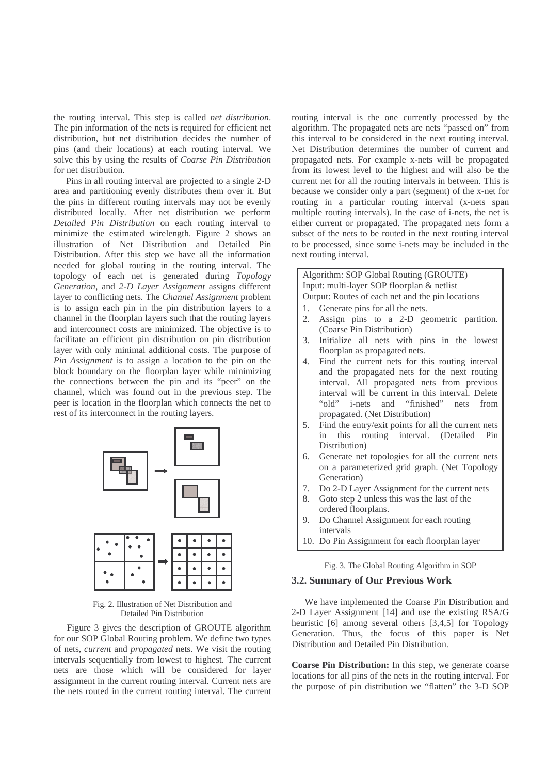the routing interval. This step is called *net distribution*. The pin information of the nets is required for efficient net distribution, but net distribution decides the number of pins (and their locations) at each routing interval. We solve this by using the results of *Coarse Pin Distribution* for net distribution.

Pins in all routing interval are projected to a single 2-D area and partitioning evenly distributes them over it. But the pins in different routing intervals may not be evenly distributed locally. After net distribution we perform *Detailed Pin Distribution* on each routing interval to minimize the estimated wirelength. Figure 2 shows an illustration of Net Distribution and Detailed Pin Distribution. After this step we have all the information needed for global routing in the routing interval. The topology of each net is generated during *Topology Generation*, and *2-D Layer Assignment* assigns different layer to conflicting nets. The *Channel Assignment* problem is to assign each pin in the pin distribution layers to a channel in the floorplan layers such that the routing layers and interconnect costs are minimized. The objective is to facilitate an efficient pin distribution on pin distribution layer with only minimal additional costs. The purpose of *Pin Assignment* is to assign a location to the pin on the block boundary on the floorplan layer while minimizing the connections between the pin and its "peer" on the channel, which was found out in the previous step. The peer is location in the floorplan which connects the net to rest of its interconnect in the routing layers.



Fig. 2. Illustration of Net Distribution and Detailed Pin Distribution

Figure 3 gives the description of GROUTE algorithm for our SOP Global Routing problem. We define two types of nets, *current* and *propagated* nets. We visit the routing intervals sequentially from lowest to highest. The current nets are those which will be considered for layer assignment in the current routing interval. Current nets are the nets routed in the current routing interval. The current routing interval is the one currently processed by the algorithm. The propagated nets are nets "passed on" from this interval to be considered in the next routing interval. Net Distribution determines the number of current and propagated nets. For example x-nets will be propagated from its lowest level to the highest and will also be the current net for all the routing intervals in between. This is because we consider only a part (segment) of the x-net for routing in a particular routing interval (x-nets span multiple routing intervals). In the case of i-nets, the net is either current or propagated. The propagated nets form a subset of the nets to be routed in the next routing interval to be processed, since some i-nets may be included in the next routing interval.

Algorithm: SOP Global Routing (GROUTE) Input: multi-layer SOP floorplan & netlist Output: Routes of each net and the pin locations

- 1. Generate pins for all the nets.
- 2. Assign pins to a 2-D geometric partition. (Coarse Pin Distribution)
- 3. Initialize all nets with pins in the lowest floorplan as propagated nets.
- 4. Find the current nets for this routing interval and the propagated nets for the next routing interval. All propagated nets from previous interval will be current in this interval. Delete "old" i-nets and "finished" nets from propagated. (Net Distribution)
- 5. Find the entry/exit points for all the current nets in this routing interval. (Detailed Pin Distribution)
- 6. Generate net topologies for all the current nets on a parameterized grid graph. (Net Topology Generation)
- 7. Do 2-D Layer Assignment for the current nets
- 8. Goto step 2 unless this was the last of the ordered floorplans.
- 9. Do Channel Assignment for each routing intervals
- 10. Do Pin Assignment for each floorplan layer

Fig. 3. The Global Routing Algorithm in SOP

#### **3.2. Summary of Our Previous Work**

We have implemented the Coarse Pin Distribution and 2-D Layer Assignment [14] and use the existing RSA/G heuristic [6] among several others [3,4,5] for Topology Generation. Thus, the focus of this paper is Net Distribution and Detailed Pin Distribution.

**Coarse Pin Distribution:** In this step, we generate coarse locations for all pins of the nets in the routing interval. For the purpose of pin distribution we "flatten" the 3-D SOP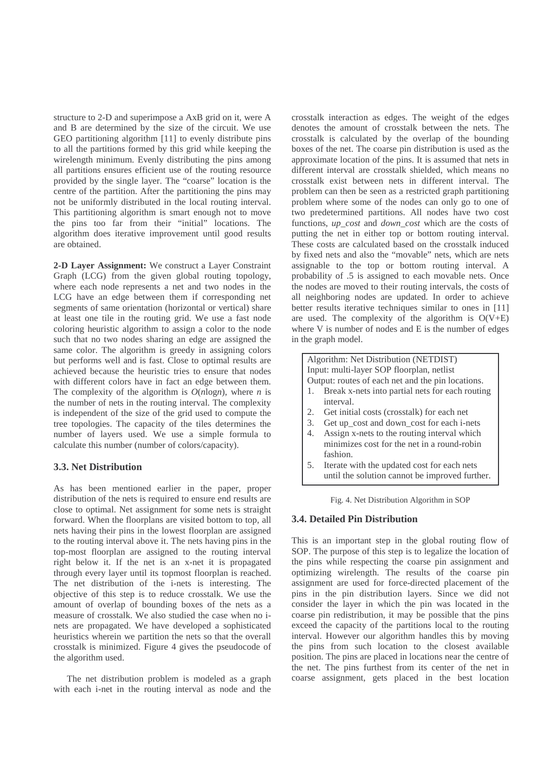structure to 2-D and superimpose a AxB grid on it, were A and B are determined by the size of the circuit. We use GEO partitioning algorithm [11] to evenly distribute pins to all the partitions formed by this grid while keeping the wirelength minimum. Evenly distributing the pins among all partitions ensures efficient use of the routing resource provided by the single layer. The "coarse" location is the centre of the partition. After the partitioning the pins may not be uniformly distributed in the local routing interval. This partitioning algorithm is smart enough not to move the pins too far from their "initial" locations. The algorithm does iterative improvement until good results are obtained.

**2-D Layer Assignment:** We construct a Layer Constraint Graph (LCG) from the given global routing topology, where each node represents a net and two nodes in the LCG have an edge between them if corresponding net segments of same orientation (horizontal or vertical) share at least one tile in the routing grid. We use a fast node coloring heuristic algorithm to assign a color to the node such that no two nodes sharing an edge are assigned the same color. The algorithm is greedy in assigning colors but performs well and is fast. Close to optimal results are achieved because the heuristic tries to ensure that nodes with different colors have in fact an edge between them. The complexity of the algorithm is *O*(*n*log*n*), where *n* is the number of nets in the routing interval. The complexity is independent of the size of the grid used to compute the tree topologies. The capacity of the tiles determines the number of layers used. We use a simple formula to calculate this number (number of colors/capacity).

## **3.3. Net Distribution**

As has been mentioned earlier in the paper, proper distribution of the nets is required to ensure end results are close to optimal. Net assignment for some nets is straight forward. When the floorplans are visited bottom to top, all nets having their pins in the lowest floorplan are assigned to the routing interval above it. The nets having pins in the top-most floorplan are assigned to the routing interval right below it. If the net is an x-net it is propagated through every layer until its topmost floorplan is reached. The net distribution of the i-nets is interesting. The objective of this step is to reduce crosstalk. We use the amount of overlap of bounding boxes of the nets as a measure of crosstalk. We also studied the case when no inets are propagated. We have developed a sophisticated heuristics wherein we partition the nets so that the overall crosstalk is minimized. Figure 4 gives the pseudocode of the algorithm used.

The net distribution problem is modeled as a graph with each i-net in the routing interval as node and the crosstalk interaction as edges. The weight of the edges denotes the amount of crosstalk between the nets. The crosstalk is calculated by the overlap of the bounding boxes of the net. The coarse pin distribution is used as the approximate location of the pins. It is assumed that nets in different interval are crosstalk shielded, which means no crosstalk exist between nets in different interval. The problem can then be seen as a restricted graph partitioning problem where some of the nodes can only go to one of two predetermined partitions. All nodes have two cost functions, *up\_cost* and *down\_cost* which are the costs of putting the net in either top or bottom routing interval. These costs are calculated based on the crosstalk induced by fixed nets and also the "movable" nets, which are nets assignable to the top or bottom routing interval. A probability of .5 is assigned to each movable nets. Once the nodes are moved to their routing intervals, the costs of all neighboring nodes are updated. In order to achieve better results iterative techniques similar to ones in [11] are used. The complexity of the algorithm is  $O(V+E)$ where V is number of nodes and E is the number of edges in the graph model.

Algorithm: Net Distribution (NETDIST) Input: multi-layer SOP floorplan, netlist Output: routes of each net and the pin locations. 1. Break x-nets into partial nets for each routing interval. 2. Get initial costs (crosstalk) for each net

- 3. Get up\_cost and down\_cost for each i-nets
- 4. Assign x-nets to the routing interval which minimizes cost for the net in a round-robin fashion.
- 5. Iterate with the updated cost for each nets until the solution cannot be improved further.

Fig. 4. Net Distribution Algorithm in SOP

## **3.4. Detailed Pin Distribution**

This is an important step in the global routing flow of SOP. The purpose of this step is to legalize the location of the pins while respecting the coarse pin assignment and optimizing wirelength. The results of the coarse pin assignment are used for force-directed placement of the pins in the pin distribution layers. Since we did not consider the layer in which the pin was located in the coarse pin redistribution, it may be possible that the pins exceed the capacity of the partitions local to the routing interval. However our algorithm handles this by moving the pins from such location to the closest available position. The pins are placed in locations near the centre of the net. The pins furthest from its center of the net in coarse assignment, gets placed in the best location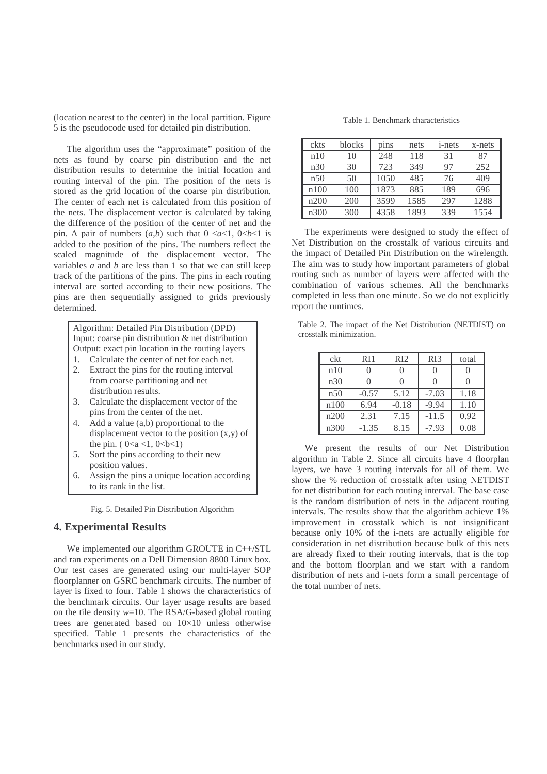(location nearest to the center) in the local partition. Figure 5 is the pseudocode used for detailed pin distribution.

The algorithm uses the "approximate" position of the nets as found by coarse pin distribution and the net distribution results to determine the initial location and routing interval of the pin. The position of the nets is stored as the grid location of the coarse pin distribution. The center of each net is calculated from this position of the nets. The displacement vector is calculated by taking the difference of the position of the center of net and the pin. A pair of numbers  $(a,b)$  such that  $0 \leq a \leq 1$ ,  $0 \leq b \leq 1$  is added to the position of the pins. The numbers reflect the scaled magnitude of the displacement vector. The variables *a* and *b* are less than 1 so that we can still keep track of the partitions of the pins. The pins in each routing interval are sorted according to their new positions. The pins are then sequentially assigned to grids previously determined.

Algorithm: Detailed Pin Distribution (DPD) Input: coarse pin distribution & net distribution Output: exact pin location in the routing layers

- 1. Calculate the center of net for each net.
- 2. Extract the pins for the routing interval from coarse partitioning and net distribution results.
- 3. Calculate the displacement vector of the pins from the center of the net.
- 4. Add a value (a,b) proportional to the displacement vector to the position (x,y) of the pin.  $(0 < a < 1, 0 < b < 1)$
- 5. Sort the pins according to their new position values.
- 6. Assign the pins a unique location according to its rank in the list.

Fig. 5. Detailed Pin Distribution Algorithm

# **4. Experimental Results**

We implemented our algorithm GROUTE in C++/STL and ran experiments on a Dell Dimension 8800 Linux box. Our test cases are generated using our multi-layer SOP floorplanner on GSRC benchmark circuits. The number of layer is fixed to four. Table 1 shows the characteristics of the benchmark circuits. Our layer usage results are based on the tile density *w*=10. The RSA/G-based global routing trees are generated based on 10×10 unless otherwise specified. Table 1 presents the characteristics of the benchmarks used in our study.

Table 1. Benchmark characteristics

| ckts | blocks | pins | nets | <i>i</i> -nets | x-nets |
|------|--------|------|------|----------------|--------|
| n10  | 10     | 248  | 118  | 31             | 87     |
| n30  | 30     | 723  | 349  | 97             | 252    |
| n50  | 50     | 1050 | 485  | 76             | 409    |
| n100 | 100    | 1873 | 885  | 189            | 696    |
| n200 | 200    | 3599 | 1585 | 297            | 1288   |
| n300 | 300    | 4358 | 1893 | 339            | 1554   |

The experiments were designed to study the effect of Net Distribution on the crosstalk of various circuits and the impact of Detailed Pin Distribution on the wirelength. The aim was to study how important parameters of global routing such as number of layers were affected with the combination of various schemes. All the benchmarks completed in less than one minute. So we do not explicitly report the runtimes.

Table 2. The impact of the Net Distribution (NETDIST) on crosstalk minimization.

| ckt  | R <sub>1</sub> | RI2     | RI3     | total |
|------|----------------|---------|---------|-------|
| n10  |                |         |         |       |
| n30  |                |         |         |       |
| n50  | $-0.57$        | 5.12    | $-7.03$ | 1.18  |
| n100 | 6.94           | $-0.18$ | $-9.94$ | 1.10  |
| n200 | 2.31           | 7.15    | $-11.5$ | 0.92  |
| n300 | $-1.35$        | 8.15    | $-7.93$ | 0.08  |

We present the results of our Net Distribution algorithm in Table 2. Since all circuits have 4 floorplan layers, we have 3 routing intervals for all of them. We show the % reduction of crosstalk after using NETDIST for net distribution for each routing interval. The base case is the random distribution of nets in the adjacent routing intervals. The results show that the algorithm achieve 1% improvement in crosstalk which is not insignificant because only 10% of the i-nets are actually eligible for consideration in net distribution because bulk of this nets are already fixed to their routing intervals, that is the top and the bottom floorplan and we start with a random distribution of nets and i-nets form a small percentage of the total number of nets.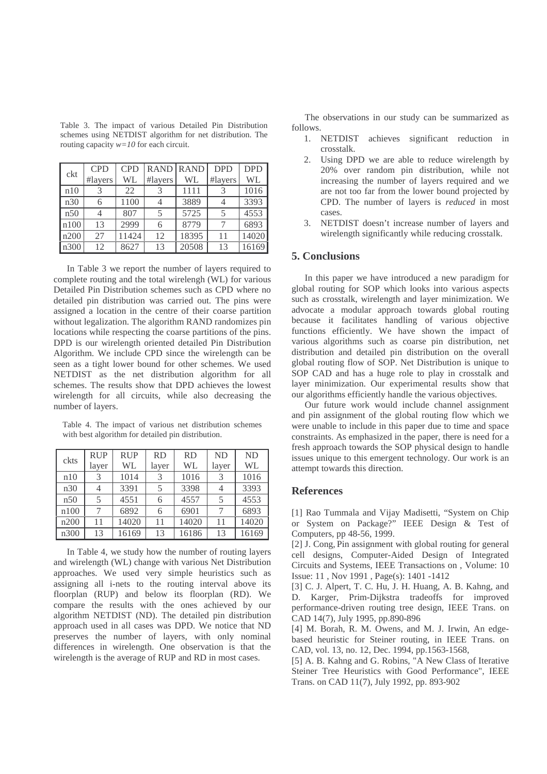Table 3. The impact of various Detailed Pin Distribution schemes using NETDIST algorithm for net distribution. The routing capacity *w=10* for each circuit.

| ckt  | <b>CPD</b> | <b>CPD</b> | <b>RAND RAND</b> |       | <b>DPD</b> | <b>DPD</b> |
|------|------------|------------|------------------|-------|------------|------------|
|      | #layers    | WL         | #layers          | WL    | #layers    | <b>WL</b>  |
| n10  | 3          | 22         | 3                | 1111  |            | 1016       |
| n30  | 6          | 1100       | $\overline{4}$   | 3889  |            | 3393       |
| n50  |            | 807        | 5                | 5725  |            | 4553       |
| n100 | 13         | 2999       | 6                | 8779  | 7          | 6893       |
| n200 | 27         | 11424      | 12               | 18395 | 11         | 14020      |
| n300 | 12         | 8627       | 13               | 20508 | 13         | 16169      |

In Table 3 we report the number of layers required to complete routing and the total wirelengh (WL) for various Detailed Pin Distribution schemes such as CPD where no detailed pin distribution was carried out. The pins were assigned a location in the centre of their coarse partition without legalization. The algorithm RAND randomizes pin locations while respecting the coarse partitions of the pins. DPD is our wirelength oriented detailed Pin Distribution Algorithm. We include CPD since the wirelength can be seen as a tight lower bound for other schemes. We used NETDIST as the net distribution algorithm for all schemes. The results show that DPD achieves the lowest wirelength for all circuits, while also decreasing the number of layers.

Table 4. The impact of various net distribution schemes with best algorithm for detailed pin distribution.

| ckts | <b>RUP</b> | <b>RUP</b> | <b>RD</b> | <b>RD</b> | <b>ND</b>      | <b>ND</b> |
|------|------------|------------|-----------|-----------|----------------|-----------|
|      | laver      | WL         | laver     | WL        | layer          | WL        |
| n10  | 3          | 1014       | 3         | 1016      | 3              | 1016      |
| n30  |            | 3391       | 5         | 3398      | $\overline{4}$ | 3393      |
| n50  |            | 4551       | 6         | 4557      | 5              | 4553      |
| n100 |            | 6892       | 6         | 6901      |                | 6893      |
| n200 | 11         | 14020      | 11        | 14020     | 11             | 14020     |
| n300 | 13         | 16169      | 13        | 16186     | 13             | 16169     |

In Table 4, we study how the number of routing layers and wirelength (WL) change with various Net Distribution approaches. We used very simple heuristics such as assigning all i-nets to the routing interval above its floorplan (RUP) and below its floorplan (RD). We compare the results with the ones achieved by our algorithm NETDIST (ND). The detailed pin distribution approach used in all cases was DPD. We notice that ND preserves the number of layers, with only nominal differences in wirelength. One observation is that the wirelength is the average of RUP and RD in most cases.

The observations in our study can be summarized as follows.

- 1. NETDIST achieves significant reduction in crosstalk.
- 2. Using DPD we are able to reduce wirelength by 20% over random pin distribution, while not increasing the number of layers required and we are not too far from the lower bound projected by CPD. The number of layers is *reduced* in most cases.
- 3. NETDIST doesn't increase number of layers and wirelength significantly while reducing crosstalk.

# **5. Conclusions**

In this paper we have introduced a new paradigm for global routing for SOP which looks into various aspects such as crosstalk, wirelength and layer minimization. We advocate a modular approach towards global routing because it facilitates handling of various objective functions efficiently. We have shown the impact of various algorithms such as coarse pin distribution, net distribution and detailed pin distribution on the overall global routing flow of SOP. Net Distribution is unique to SOP CAD and has a huge role to play in crosstalk and layer minimization. Our experimental results show that our algorithms efficiently handle the various objectives.

Our future work would include channel assignment and pin assignment of the global routing flow which we were unable to include in this paper due to time and space constraints. As emphasized in the paper, there is need for a fresh approach towards the SOP physical design to handle issues unique to this emergent technology. Our work is an attempt towards this direction.

## **References**

[1] Rao Tummala and Vijay Madisetti, "System on Chip or System on Package?" IEEE Design & Test of Computers, pp 48-56, 1999.

[2] J. Cong*,* Pin assignment with global routing for general cell designs, Computer-Aided Design of Integrated Circuits and Systems, IEEE Transactions on , Volume: 10 Issue: 11 , Nov 1991 , Page(s): 1401 -1412

[3] C. J. Alpert, T. C. Hu, J. H. Huang, A. B. Kahng, and D. Karger, Prim-Dijkstra tradeoffs for improved performance-driven routing tree design, IEEE Trans. on CAD 14(7), July 1995, pp.890-896

[4] M. Borah, R. M. Owens, and M. J. Irwin, An edgebased heuristic for Steiner routing, in IEEE Trans. on CAD, vol. 13, no. 12, Dec. 1994, pp.1563-1568,

[5] A. B. Kahng and G. Robins, "A New Class of Iterative Steiner Tree Heuristics with Good Performance", IEEE Trans. on CAD 11(7), July 1992, pp. 893-902